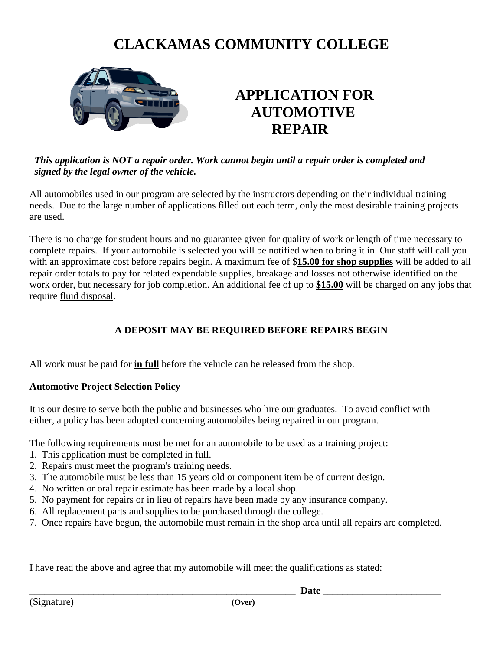# **CLACKAMAS COMMUNITY COLLEGE**



## **APPLICATION FOR AUTOMOTIVE REPAIR**

#### *This application is NOT a repair order. Work cannot begin until a repair order is completed and signed by the legal owner of the vehicle.*

All automobiles used in our program are selected by the instructors depending on their individual training needs. Due to the large number of applications filled out each term, only the most desirable training projects are used.

There is no charge for student hours and no guarantee given for quality of work or length of time necessary to complete repairs. If your automobile is selected you will be notified when to bring it in. Our staff will call you with an approximate cost before repairs begin. A maximum fee of \$**15.00 for shop supplies** will be added to all repair order totals to pay for related expendable supplies, breakage and losses not otherwise identified on the work order, but necessary for job completion. An additional fee of up to **\$15.00** will be charged on any jobs that require fluid disposal.

### **A DEPOSIT MAY BE REQUIRED BEFORE REPAIRS BEGIN**

All work must be paid for **in full** before the vehicle can be released from the shop.

#### **Automotive Project Selection Policy**

It is our desire to serve both the public and businesses who hire our graduates. To avoid conflict with either, a policy has been adopted concerning automobiles being repaired in our program.

The following requirements must be met for an automobile to be used as a training project:

- 1. This application must be completed in full.
- 2. Repairs must meet the program's training needs.
- 3. The automobile must be less than 15 years old or component item be of current design.
- 4. No written or oral repair estimate has been made by a local shop.
- 5. No payment for repairs or in lieu of repairs have been made by any insurance company.
- 6. All replacement parts and supplies to be purchased through the college.
- 7. Once repairs have begun, the automobile must remain in the shop area until all repairs are completed.

I have read the above and agree that my automobile will meet the qualifications as stated:

**\_\_\_\_\_\_\_\_\_\_\_\_\_\_\_\_\_\_\_\_\_\_\_\_\_\_\_\_\_\_\_\_\_\_\_\_\_\_\_\_\_\_\_\_\_\_\_\_\_\_\_\_\_\_ Date \_\_\_\_\_\_\_\_\_\_\_\_\_\_\_\_\_\_\_\_\_\_\_\_**